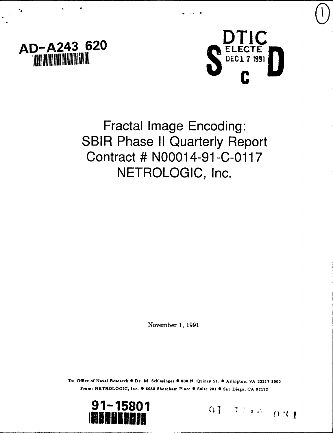



Fractal Image Encoding: **SBIR Phase II Quarterly Report** Contract **# N00014-91 -C-0117 NETROLOGIC,** Inc.

November **1, 1991**

To: Office of Naval Research  $\bullet$  Dr. M. Schlesinger  $\bullet$  800 N. Quincy St.  $\bullet$  Arlington, VA 22217-5000 From: **NETROLOGIC,** Inc. **S 5080** Shoreham Place **S** Suite 201 **#** San Diego, **CA 92122**



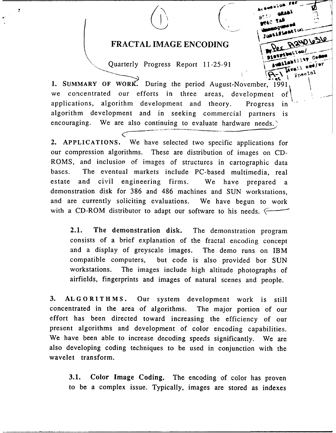## FRACTAL IMAGE ENCODING PAW 63W

**ter'**

Fpssial

Quarterly Progress Report 11-25-91

1. SUMMARY OF WORK. During the period August-November, 1991 we concentrated our efforts in three areas, development of applications, algorithm development and theory. Progress in algorithm development and in seeking commercial partners is encouraging. We are also continuing to evaluate hardware needs.)

2. APPLICATIONS. We have selected two specific applications for our compression algorithms. These are distribution of images on CD-ROMS, and inclusion of images of structures in cartographic data bases. The eventual markets include PC-based multimedia, real estate and civil engineering firms. We have prepared a demonstration disk for 386 and 486 machines and SUN workstations, and are currently soliciting evaluations. We have begun to work with a CD-ROM distributor to adapt our software to his needs.

2.1. The demonstration disk. The demonstration program consists of a brief explanation of the fractal encoding concept and a display of greyscale images. The demo runs on IBM compatible computers, but code is also provided bor SUN workstations. The images include high altitude photographs of airfields, fingerprints and images of natural scenes and people.

3. ALGORITHMS. Our system development work is still concentrated in the area of algorithms. The major portion of our effort has been directed toward increasing the efficiency of our present algorithms and development of color encoding capabilities. We have been able to increase decoding speeds significantly. We are also developing coding techniques to be used in conjunction with the wavelet transform.

3.1. Color Image Coding. The encoding of color has proven to be a complex issue. Typically, images are stored as indexes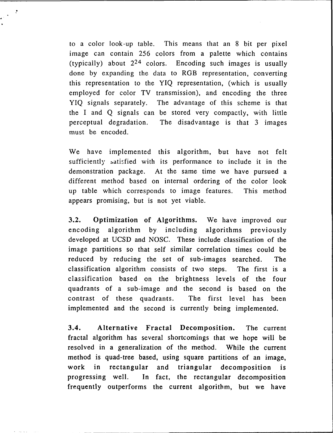to a color look-up table. This means that an 8 bit per pixel image can contain 256 colors from a palette which contains (typically) about  $2^{24}$  colors. Encoding such images is usually done by expanding the data to RGB representation, converting this representation to the YIQ representation, (which is usually employed for color TV transmission), and encoding the three YIQ signals separately. The advantage of this scheme is that the I and Q signals can be stored very compactly, with little perceptual degradation. The disadvantage is that 3 images must be encoded.

We have implemented this algorithm, but have not felt sufficiently satisfied with its performance to include it in the demonstration package. At the same time we have pursued a different method based on internal ordering of the color look up table which corresponds to image features. This method appears promising, but is not yet viable.

3.2. Optimization of Algorithms. We have improved our encoding algorithm by including algorithms previously developed at UCSD and NOSC. These include classification of the image partitions so that self similar correlation times could be reduced by reducing the set of sub-images searched. The classification algorithm consists of two steps. The first is a classification based on the brightness levels of the four quadrants of a sub-image and the second is based on the contrast of these quadrants. The first level has been implemented and the second is currently being implemented.

3.4. Alternative Fractal Decomposition. The current fractal algorithm has several shortcomings that we hope will be resolved in a generalization of the method. While the current method is quad-tree based, using square partitions of an image, work in rectangular and triangular decomposition is progressing well. In fact, the rectangular decomposition frequently outperforms the current algorithm, but we have